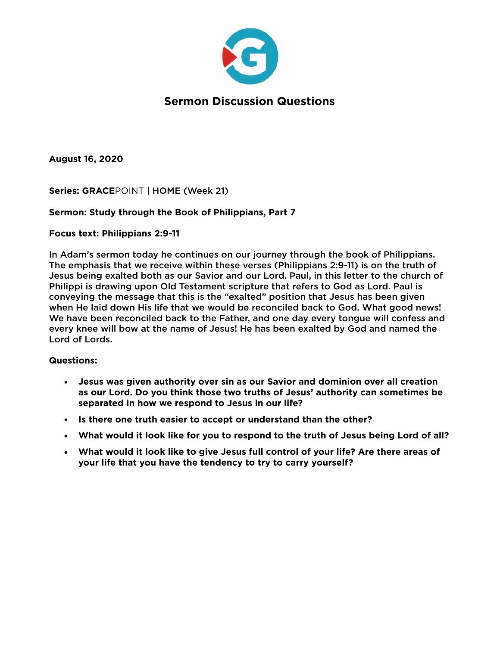

**August 16, 2020** 

**Series: GRACE**POINT | HOME (Week 21)

### **Sermon: Study through the Book of Philippians, Part 7**

### **Focus text: Philippians 2:9-11**

In Adam's sermon today he continues on our journey through the book of Philippians. The emphasis that we receive within these verses (Philippians 2:9-11) is on the truth of Jesus being exalted both as our Savior and our Lord. Paul, in this letter to the church of Philippi is drawing upon Old Testament scripture that refers to God as Lord. Paul is conveying the message that this is the "exalted" position that Jesus has been given when He laid down His life that we would be reconciled back to God. What good news! We have been reconciled back to the Father, and one day every tongue will confess and every knee will bow at the name of Jesus! He has been exalted by God and named the Lord of Lords.

### **Questions:**

- **• Jesus was given authority over sin as our Savior and dominion over all creation as our Lord. Do you think those two truths of Jesus' authority can sometimes be separated in how we respond to Jesus in our life?**
- **• Is there one truth easier to accept or understand than the other?**
- **• What would it look like for you to respond to the truth of Jesus being Lord of all?**
- **• What would it look like to give Jesus full control of your life? Are there areas of your life that you have the tendency to try to carry yourself?**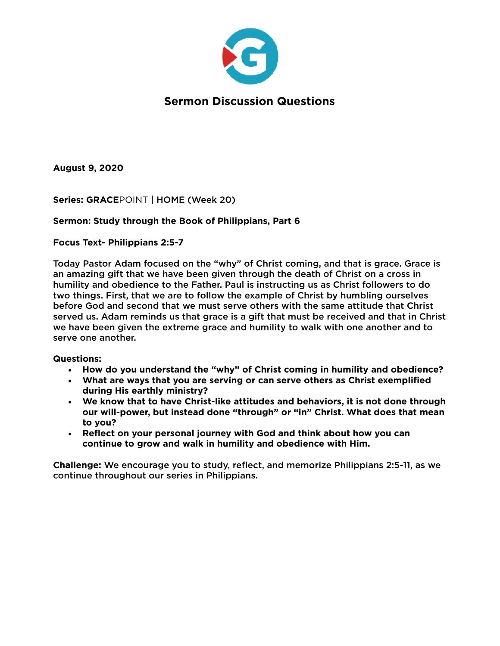

**August 9, 2020** 

**Series: GRACE**POINT | HOME (Week 20)

### **Sermon: Study through the Book of Philippians, Part 6**

**Focus Text- Philippians 2:5-7** 

Today Pastor Adam focused on the "why" of Christ coming, and that is grace. Grace is an amazing gift that we have been given through the death of Christ on a cross in humility and obedience to the Father. Paul is instructing us as Christ followers to do two things. First, that we are to follow the example of Christ by humbling ourselves before God and second that we must serve others with the same attitude that Christ served us. Adam reminds us that grace is a gift that must be received and that in Christ we have been given the extreme grace and humility to walk with one another and to serve one another.

### **Questions:**

- **• How do you understand the "why" of Christ coming in humility and obedience?**
- **• What are ways that you are serving or can serve others as Christ exemplified during His earthly ministry?**
- **• We know that to have Christ-like attitudes and behaviors, it is not done through our will-power, but instead done "through" or "in" Christ. What does that mean to you?**
- **Reflect on your personal journey with God and think about how you can continue to grow and walk in humility and obedience with Him.**

**Challenge:** We encourage you to study, reflect, and memorize Philippians 2:5-11, as we continue throughout our series in Philippians.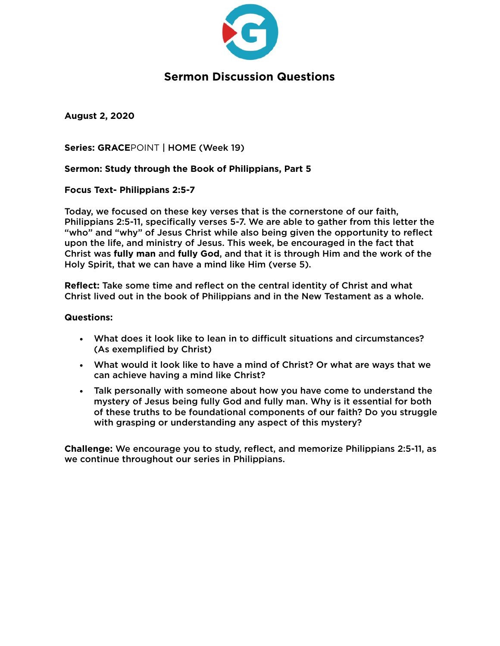

**August 2, 2020** 

**Series: GRACE**POINT | HOME (Week 19)

### **Sermon: Study through the Book of Philippians, Part 5**

**Focus Text- Philippians 2:5-7** 

Today, we focused on these key verses that is the cornerstone of our faith, Philippians 2:5-11, specifically verses 5-7. We are able to gather from this letter the "who" and "why" of Jesus Christ while also being given the opportunity to reflect upon the life, and ministry of Jesus. This week, be encouraged in the fact that Christ was **fully man** and **fully God**, and that it is through Him and the work of the Holy Spirit, that we can have a mind like Him (verse 5).

**Reflect:** Take some time and reflect on the central identity of Christ and what Christ lived out in the book of Philippians and in the New Testament as a whole.

#### **Questions:**

- What does it look like to lean in to difficult situations and circumstances? (As exemplified by Christ)
- What would it look like to have a mind of Christ? Or what are ways that we can achieve having a mind like Christ?
- Talk personally with someone about how you have come to understand the mystery of Jesus being fully God and fully man. Why is it essential for both of these truths to be foundational components of our faith? Do you struggle with grasping or understanding any aspect of this mystery?

**Challenge:** We encourage you to study, reflect, and memorize Philippians 2:5-11, as we continue throughout our series in Philippians.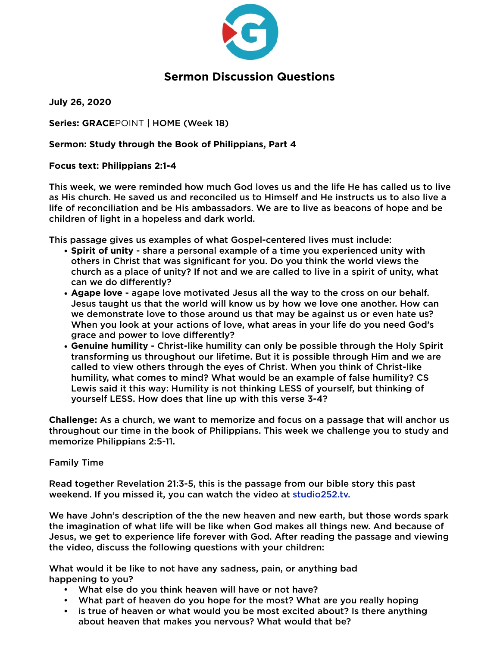

**July 26, 2020** 

**Series: GRACE**POINT | HOME (Week 18)

### **Sermon: Study through the Book of Philippians, Part 4**

### **Focus text: Philippians 2:1-4**

This week, we were reminded how much God loves us and the life He has called us to live as His church. He saved us and reconciled us to Himself and He instructs us to also live a life of reconciliation and be His ambassadors. We are to live as beacons of hope and be children of light in a hopeless and dark world.

This passage gives us examples of what Gospel-centered lives must include:

- **Spirit of unity**  share a personal example of a time you experienced unity with others in Christ that was significant for you. Do you think the world views the church as a place of unity? If not and we are called to live in a spirit of unity, what can we do differently?
- **Agape love** agape love motivated Jesus all the way to the cross on our behalf. Jesus taught us that the world will know us by how we love one another. How can we demonstrate love to those around us that may be against us or even hate us? When you look at your actions of love, what areas in your life do you need God's grace and power to love differently?
- **Genuine humility** Christ-like humility can only be possible through the Holy Spirit transforming us throughout our lifetime. But it is possible through Him and we are called to view others through the eyes of Christ. When you think of Christ-like humility, what comes to mind? What would be an example of false humility? CS Lewis said it this way: Humility is not thinking LESS of yourself, but thinking of yourself LESS. How does that line up with this verse 3-4?

**Challenge:** As a church, we want to memorize and focus on a passage that will anchor us throughout our time in the book of Philippians. This week we challenge you to study and memorize Philippians 2:5-11.

### Family Time

Read together Revelation 21:3-5, this is the passage from our bible story this past weekend. If you missed it, you can watch the video at studio252.tv.

We have John's description of the the new heaven and new earth, but those words spark the imagination of what life will be like when God makes all things new. And because of Jesus, we get to experience life forever with God. After reading the passage and viewing the video, discuss the following questions with your children:

What would it be like to not have any sadness, pain, or anything bad happening to you?

- What else do you think heaven will have or not have?
- What part of heaven do you hope for the most? What are you really hoping
- is true of heaven or what would you be most excited about? Is there anything about heaven that makes you nervous? What would that be?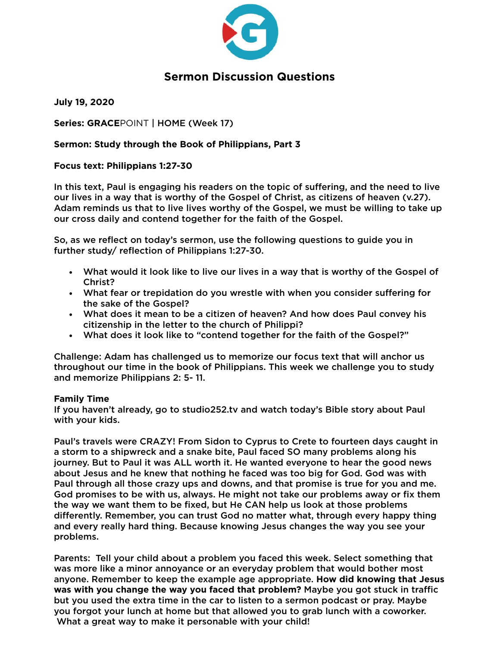

**July 19, 2020** 

**Series: GRACE**POINT | HOME (Week 17)

### **Sermon: Study through the Book of Philippians, Part 3**

### **Focus text: Philippians 1:27-30**

In this text, Paul is engaging his readers on the topic of suffering, and the need to live our lives in a way that is worthy of the Gospel of Christ, as citizens of heaven (v.27). Adam reminds us that to live lives worthy of the Gospel, we must be willing to take up our cross daily and contend together for the faith of the Gospel.

So, as we reflect on today's sermon, use the following questions to guide you in further study/ reflection of Philippians 1:27-30.

- What would it look like to live our lives in a way that is worthy of the Gospel of Christ?
- What fear or trepidation do you wrestle with when you consider suffering for the sake of the Gospel?
- What does it mean to be a citizen of heaven? And how does Paul convey his citizenship in the letter to the church of Philippi?
- What does it look like to "contend together for the faith of the Gospel?"

Challenge: Adam has challenged us to memorize our focus text that will anchor us throughout our time in the book of Philippians. This week we challenge you to study and memorize Philippians 2: 5- 11.

### **Family Time**

If you haven't already, go to studio252.tv and watch today's Bible story about Paul with your kids.

Paul's travels were CRAZY! From Sidon to Cyprus to Crete to fourteen days caught in a storm to a shipwreck and a snake bite, Paul faced SO many problems along his journey. But to Paul it was ALL worth it. He wanted everyone to hear the good news about Jesus and he knew that nothing he faced was too big for God. God was with Paul through all those crazy ups and downs, and that promise is true for you and me. God promises to be with us, always. He might not take our problems away or fix them the way we want them to be fixed, but He CAN help us look at those problems differently. Remember, you can trust God no matter what, through every happy thing and every really hard thing. Because knowing Jesus changes the way you see your problems.

Parents: Tell your child about a problem you faced this week. Select something that was more like a minor annoyance or an everyday problem that would bother most anyone. Remember to keep the example age appropriate. **How did knowing that Jesus was with you change the way you faced that problem?** Maybe you got stuck in traffic but you used the extra time in the car to listen to a sermon podcast or pray. Maybe you forgot your lunch at home but that allowed you to grab lunch with a coworker. What a great way to make it personable with your child!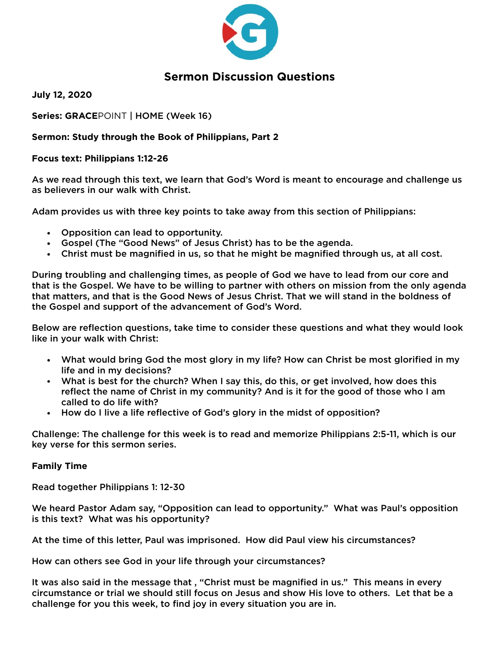

**July 12, 2020** 

**Series: GRACE**POINT | HOME (Week 16)

### **Sermon: Study through the Book of Philippians, Part 2**

### **Focus text: Philippians 1:12-26**

As we read through this text, we learn that God's Word is meant to encourage and challenge us as believers in our walk with Christ.

Adam provides us with three key points to take away from this section of Philippians:

- Opposition can lead to opportunity.
- Gospel (The "Good News" of Jesus Christ) has to be the agenda.
- Christ must be magnified in us, so that he might be magnified through us, at all cost.

During troubling and challenging times, as people of God we have to lead from our core and that is the Gospel. We have to be willing to partner with others on mission from the only agenda that matters, and that is the Good News of Jesus Christ. That we will stand in the boldness of the Gospel and support of the advancement of God's Word.

Below are reflection questions, take time to consider these questions and what they would look like in your walk with Christ:

- What would bring God the most glory in my life? How can Christ be most glorified in my life and in my decisions?
- What is best for the church? When I say this, do this, or get involved, how does this reflect the name of Christ in my community? And is it for the good of those who I am called to do life with?
- How do I live a life reflective of God's glory in the midst of opposition?

Challenge: The challenge for this week is to read and memorize Philippians 2:5-11, which is our key verse for this sermon series.

### **Family Time**

Read together Philippians 1: 12-30

We heard Pastor Adam say, "Opposition can lead to opportunity." What was Paul's opposition is this text? What was his opportunity?

At the time of this letter, Paul was imprisoned. How did Paul view his circumstances?

How can others see God in your life through your circumstances?

It was also said in the message that , "Christ must be magnified in us." This means in every circumstance or trial we should still focus on Jesus and show His love to others. Let that be a challenge for you this week, to find joy in every situation you are in.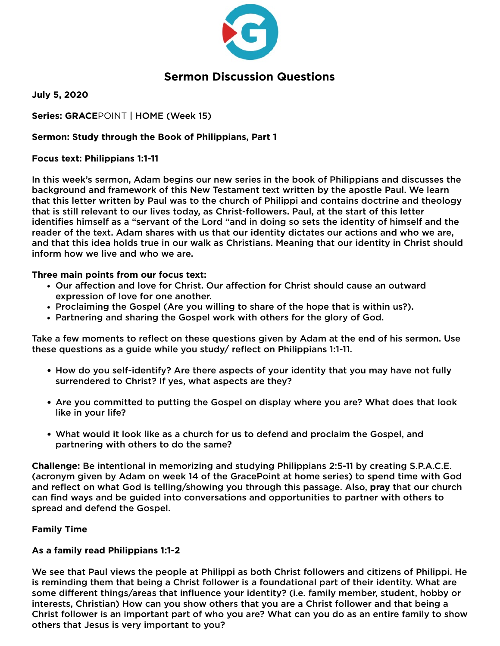

**July 5, 2020** 

**Series: GRACE**POINT | HOME (Week 15)

### **Sermon: Study through the Book of Philippians, Part 1**

### **Focus text: Philippians 1:1-11**

In this week's sermon, Adam begins our new series in the book of Philippians and discusses the background and framework of this New Testament text written by the apostle Paul. We learn that this letter written by Paul was to the church of Philippi and contains doctrine and theology that is still relevant to our lives today, as Christ-followers. Paul, at the start of this letter identifies himself as a "servant of the Lord "and in doing so sets the identity of himself and the reader of the text. Adam shares with us that our identity dictates our actions and who we are, and that this idea holds true in our walk as Christians. Meaning that our identity in Christ should inform how we live and who we are.

### **Three main points from our focus text:**

- Our affection and love for Christ. Our affection for Christ should cause an outward expression of love for one another.
- Proclaiming the Gospel (Are you willing to share of the hope that is within us?).
- Partnering and sharing the Gospel work with others for the glory of God.

Take a few moments to reflect on these questions given by Adam at the end of his sermon. Use these questions as a guide while you study/ reflect on Philippians 1:1-11.

- How do you self-identify? Are there aspects of your identity that you may have not fully surrendered to Christ? If yes, what aspects are they?
- Are you committed to putting the Gospel on display where you are? What does that look like in your life?
- What would it look like as a church for us to defend and proclaim the Gospel, and partnering with others to do the same?

**Challenge:** Be intentional in memorizing and studying Philippians 2:5-11 by creating S.P.A.C.E. (acronym given by Adam on week 14 of the GracePoint at home series) to spend time with God and reflect on what God is telling/showing you through this passage. Also, **pray** that our church can find ways and be guided into conversations and opportunities to partner with others to spread and defend the Gospel.

### **Family Time**

### **As a family read Philippians 1:1-2**

We see that Paul views the people at Philippi as both Christ followers and citizens of Philippi. He is reminding them that being a Christ follower is a foundational part of their identity. What are some different things/areas that influence your identity? (i.e. family member, student, hobby or interests, Christian) How can you show others that you are a Christ follower and that being a Christ follower is an important part of who you are? What can you do as an entire family to show others that Jesus is very important to you?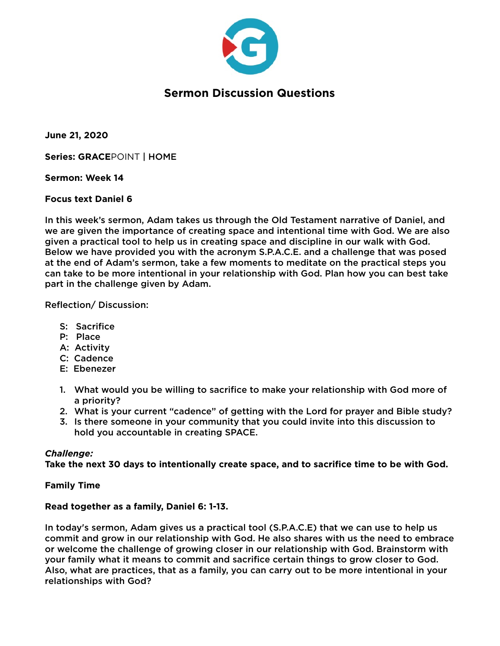

**June 21, 2020** 

**Series: GRACE**POINT | HOME

**Sermon: Week 14** 

#### **Focus text Daniel 6**

In this week's sermon, Adam takes us through the Old Testament narrative of Daniel, and we are given the importance of creating space and intentional time with God. We are also given a practical tool to help us in creating space and discipline in our walk with God. Below we have provided you with the acronym S.P.A.C.E. and a challenge that was posed at the end of Adam's sermon, take a few moments to meditate on the practical steps you can take to be more intentional in your relationship with God. Plan how you can best take part in the challenge given by Adam.

Reflection/ Discussion:

- S: Sacrifice
- P: Place
- A: Activity
- C: Cadence
- E: Ebenezer
- 1. What would you be willing to sacrifice to make your relationship with God more of a priority?
- 2. What is your current "cadence" of getting with the Lord for prayer and Bible study?
- 3. Is there someone in your community that you could invite into this discussion to hold you accountable in creating SPACE.

#### *Challenge:*

**Take the next 30 days to intentionally create space, and to sacrifice time to be with God.** 

#### **Family Time**

#### **Read together as a family, Daniel 6: 1-13.**

In today's sermon, Adam gives us a practical tool (S.P.A.C.E) that we can use to help us commit and grow in our relationship with God. He also shares with us the need to embrace or welcome the challenge of growing closer in our relationship with God. Brainstorm with your family what it means to commit and sacrifice certain things to grow closer to God. Also, what are practices, that as a family, you can carry out to be more intentional in your relationships with God?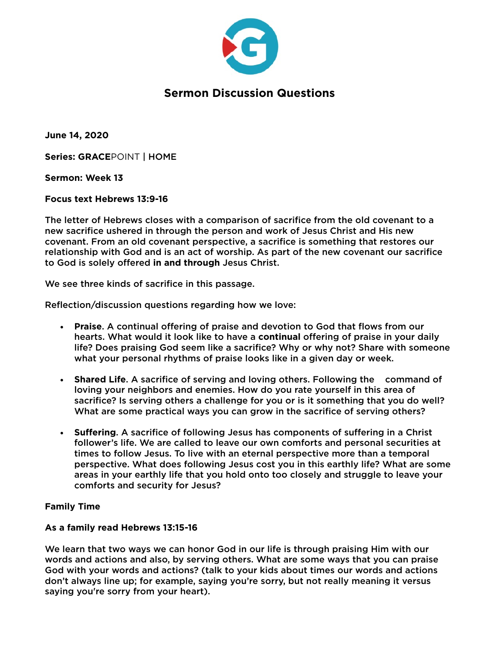

**June 14, 2020** 

**Series: GRACE**POINT | HOME

**Sermon: Week 13** 

#### **Focus text Hebrews 13:9-16**

The letter of Hebrews closes with a comparison of sacrifice from the old covenant to a new sacrifice ushered in through the person and work of Jesus Christ and His new covenant. From an old covenant perspective, a sacrifice is something that restores our relationship with God and is an act of worship. As part of the new covenant our sacrifice to God is solely offered **in and through** Jesus Christ.

We see three kinds of sacrifice in this passage.

Reflection/discussion questions regarding how we love:

- **Praise**. A continual offering of praise and devotion to God that flows from our hearts. What would it look like to have a **continual** offering of praise in your daily life? Does praising God seem like a sacrifice? Why or why not? Share with someone what your personal rhythms of praise looks like in a given day or week.
- **Shared Life**. A sacrifice of serving and loving others. Following the command of loving your neighbors and enemies. How do you rate yourself in this area of sacrifice? Is serving others a challenge for you or is it something that you do well? What are some practical ways you can grow in the sacrifice of serving others?
- **Suffering**. A sacrifice of following Jesus has components of suffering in a Christ follower's life. We are called to leave our own comforts and personal securities at times to follow Jesus. To live with an eternal perspective more than a temporal perspective. What does following Jesus cost you in this earthly life? What are some areas in your earthly life that you hold onto too closely and struggle to leave your comforts and security for Jesus?

### **Family Time**

#### **As a family read Hebrews 13:15-16**

We learn that two ways we can honor God in our life is through praising Him with our words and actions and also, by serving others. What are some ways that you can praise God with your words and actions? (talk to your kids about times our words and actions don't always line up; for example, saying you're sorry, but not really meaning it versus saying you're sorry from your heart).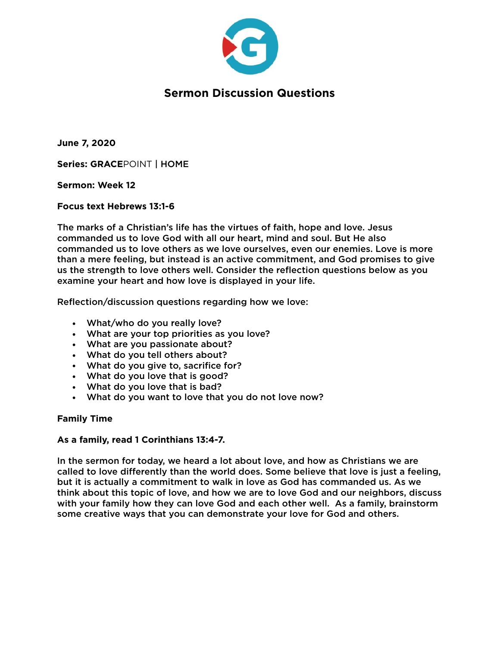

**June 7, 2020** 

**Series: GRACE**POINT | HOME

**Sermon: Week 12** 

**Focus text Hebrews 13:1-6** 

The marks of a Christian's life has the virtues of faith, hope and love. Jesus commanded us to love God with all our heart, mind and soul. But He also commanded us to love others as we love ourselves, even our enemies. Love is more than a mere feeling, but instead is an active commitment, and God promises to give us the strength to love others well. Consider the reflection questions below as you examine your heart and how love is displayed in your life.

Reflection/discussion questions regarding how we love:

- What/who do you really love?
- What are your top priorities as you love?
- What are you passionate about?
- What do you tell others about?
- What do you give to, sacrifice for?
- What do you love that is good?
- What do you love that is bad?
- What do you want to love that you do not love now?

#### **Family Time**

#### **As a family, read 1 Corinthians 13:4-7.**

In the sermon for today, we heard a lot about love, and how as Christians we are called to love differently than the world does. Some believe that love is just a feeling, but it is actually a commitment to walk in love as God has commanded us. As we think about this topic of love, and how we are to love God and our neighbors, discuss with your family how they can love God and each other well. As a family, brainstorm some creative ways that you can demonstrate your love for God and others.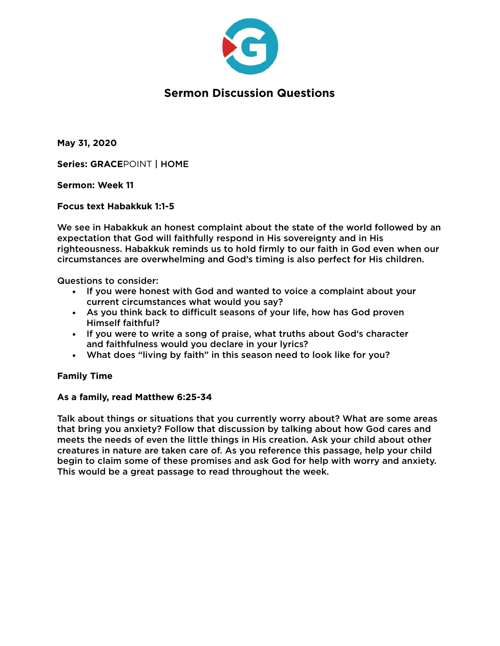

**May 31, 2020** 

**Series: GRACE**POINT | HOME

**Sermon: Week 11** 

**Focus text Habakkuk 1:1-5** 

We see in Habakkuk an honest complaint about the state of the world followed by an expectation that God will faithfully respond in His sovereignty and in His righteousness. Habakkuk reminds us to hold firmly to our faith in God even when our circumstances are overwhelming and God's timing is also perfect for His children.

Questions to consider:

- If you were honest with God and wanted to voice a complaint about your current circumstances what would you say?
- As you think back to difficult seasons of your life, how has God proven Himself faithful?
- If you were to write a song of praise, what truths about God's character and faithfulness would you declare in your lyrics?
- What does "living by faith" in this season need to look like for you?

### **Family Time**

#### **As a family, read Matthew 6:25-34**

Talk about things or situations that you currently worry about? What are some areas that bring you anxiety? Follow that discussion by talking about how God cares and meets the needs of even the little things in His creation. Ask your child about other creatures in nature are taken care of. As you reference this passage, help your child begin to claim some of these promises and ask God for help with worry and anxiety. This would be a great passage to read throughout the week.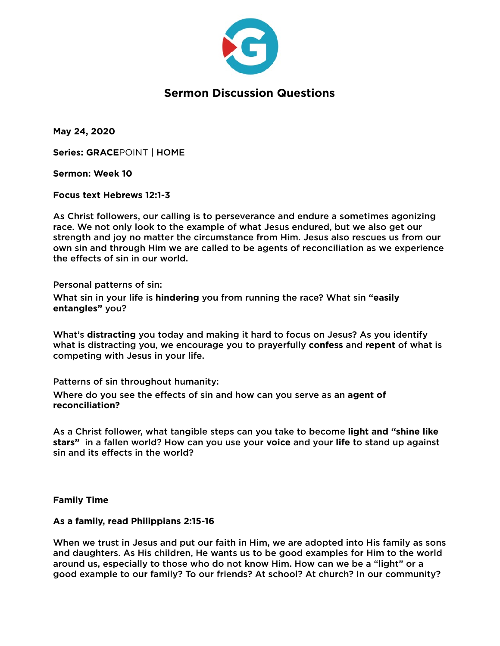

**May 24, 2020** 

**Series: GRACE**POINT | HOME

**Sermon: Week 10** 

**Focus text Hebrews 12:1-3** 

As Christ followers, our calling is to perseverance and endure a sometimes agonizing race. We not only look to the example of what Jesus endured, but we also get our strength and joy no matter the circumstance from Him. Jesus also rescues us from our own sin and through Him we are called to be agents of reconciliation as we experience the effects of sin in our world.

Personal patterns of sin:

What sin in your life is **hindering** you from running the race? What sin **"easily entangles"** you?

What's **distracting** you today and making it hard to focus on Jesus? As you identify what is distracting you, we encourage you to prayerfully **confess** and **repent** of what is competing with Jesus in your life.

Patterns of sin throughout humanity:

Where do you see the effects of sin and how can you serve as an **agent of reconciliation?**

As a Christ follower, what tangible steps can you take to become **light and "shine like stars"** in a fallen world? How can you use your **voice** and your **life** to stand up against sin and its effects in the world?

**Family Time** 

#### **As a family, read Philippians 2:15-16**

When we trust in Jesus and put our faith in Him, we are adopted into His family as sons and daughters. As His children, He wants us to be good examples for Him to the world around us, especially to those who do not know Him. How can we be a "light" or a good example to our family? To our friends? At school? At church? In our community?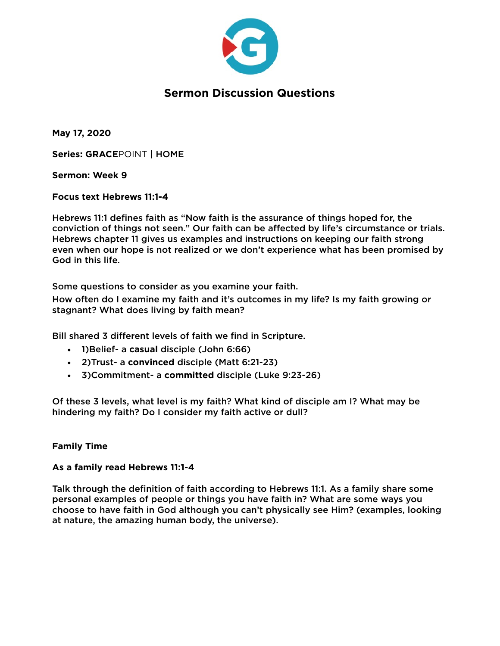

**May 17, 2020** 

**Series: GRACE**POINT | HOME

### **Sermon: Week 9**

### **Focus text Hebrews 11:1-4**

Hebrews 11:1 defines faith as "Now faith is the assurance of things hoped for, the conviction of things not seen." Our faith can be affected by life's circumstance or trials. Hebrews chapter 11 gives us examples and instructions on keeping our faith strong even when our hope is not realized or we don't experience what has been promised by God in this life.

Some questions to consider as you examine your faith.

How often do I examine my faith and it's outcomes in my life? Is my faith growing or stagnant? What does living by faith mean?

Bill shared 3 different levels of faith we find in Scripture.

- 1)Belief- a **casual** disciple (John 6:66)
- 2)Trust- a **convinced** disciple (Matt 6:21-23)
- 3)Commitment- a **committed** disciple (Luke 9:23-26)

Of these 3 levels, what level is my faith? What kind of disciple am I? What may be hindering my faith? Do I consider my faith active or dull?

### **Family Time**

### **As a family read Hebrews 11:1-4**

Talk through the definition of faith according to Hebrews 11:1. As a family share some personal examples of people or things you have faith in? What are some ways you choose to have faith in God although you can't physically see Him? (examples, looking at nature, the amazing human body, the universe).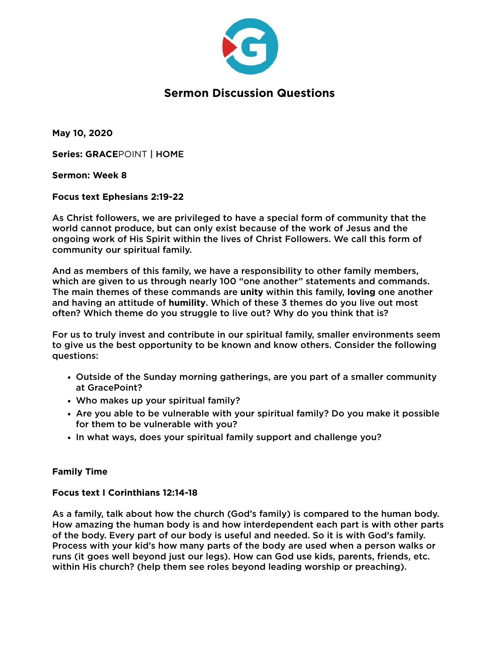

**May 10, 2020** 

**Series: GRACE**POINT | HOME

### **Sermon: Week 8**

### **Focus text Ephesians 2:19-22**

As Christ followers, we are privileged to have a special form of community that the world cannot produce, but can only exist because of the work of Jesus and the ongoing work of His Spirit within the lives of Christ Followers. We call this form of community our spiritual family.

And as members of this family, we have a responsibility to other family members, which are given to us through nearly 100 "one another" statements and commands. The main themes of these commands are **unity** within this family, **loving** one another and having an attitude of **humility**. Which of these 3 themes do you live out most often? Which theme do you struggle to live out? Why do you think that is?

For us to truly invest and contribute in our spiritual family, smaller environments seem to give us the best opportunity to be known and know others. Consider the following questions:

- Outside of the Sunday morning gatherings, are you part of a smaller community at GracePoint?
- Who makes up your spiritual family?
- Are you able to be vulnerable with your spiritual family? Do you make it possible for them to be vulnerable with you?
- In what ways, does your spiritual family support and challenge you?

### **Family Time**

### **Focus text I Corinthians 12:14-18**

As a family, talk about how the church (God's family) is compared to the human body. How amazing the human body is and how interdependent each part is with other parts of the body. Every part of our body is useful and needed. So it is with God's family. Process with your kid's how many parts of the body are used when a person walks or runs (it goes well beyond just our legs). How can God use kids, parents, friends, etc. within His church? (help them see roles beyond leading worship or preaching).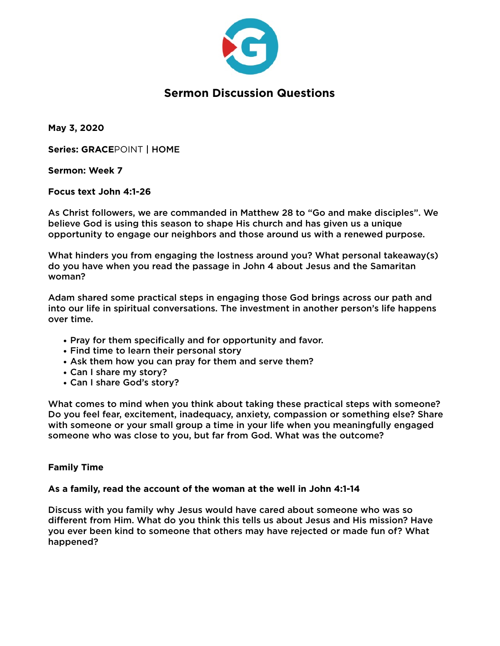

**May 3, 2020** 

**Series: GRACE**POINT | HOME

**Sermon: Week 7** 

**Focus text John 4:1-26** 

As Christ followers, we are commanded in Matthew 28 to "Go and make disciples". We believe God is using this season to shape His church and has given us a unique opportunity to engage our neighbors and those around us with a renewed purpose.

What hinders you from engaging the lostness around you? What personal takeaway(s) do you have when you read the passage in John 4 about Jesus and the Samaritan woman?

Adam shared some practical steps in engaging those God brings across our path and into our life in spiritual conversations. The investment in another person's life happens over time.

- Pray for them specifically and for opportunity and favor.
- Find time to learn their personal story
- Ask them how you can pray for them and serve them?
- Can I share my story?
- Can I share God's story?

What comes to mind when you think about taking these practical steps with someone? Do you feel fear, excitement, inadequacy, anxiety, compassion or something else? Share with someone or your small group a time in your life when you meaningfully engaged someone who was close to you, but far from God. What was the outcome?

### **Family Time**

#### **As a family, read the account of the woman at the well in John 4:1-14**

Discuss with you family why Jesus would have cared about someone who was so different from Him. What do you think this tells us about Jesus and His mission? Have you ever been kind to someone that others may have rejected or made fun of? What happened?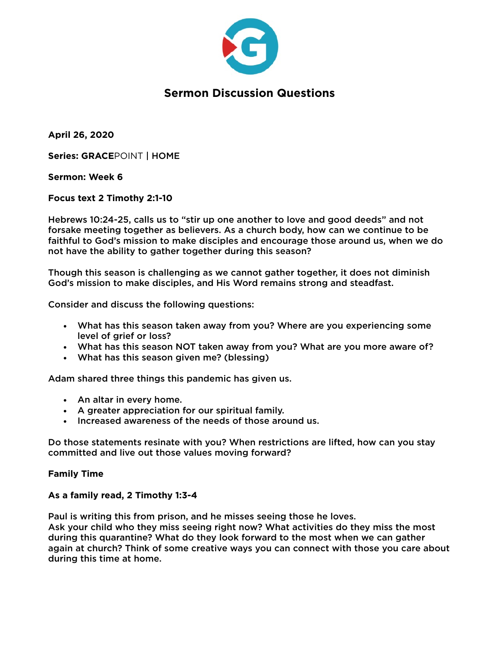

**April 26, 2020** 

**Series: GRACE**POINT | HOME

**Sermon: Week 6** 

**Focus text 2 Timothy 2:1-10** 

Hebrews 10:24-25, calls us to "stir up one another to love and good deeds" and not forsake meeting together as believers. As a church body, how can we continue to be faithful to God's mission to make disciples and encourage those around us, when we do not have the ability to gather together during this season?

Though this season is challenging as we cannot gather together, it does not diminish God's mission to make disciples, and His Word remains strong and steadfast.

Consider and discuss the following questions:

- What has this season taken away from you? Where are you experiencing some level of grief or loss?
- What has this season NOT taken away from you? What are you more aware of?
- What has this season given me? (blessing)

Adam shared three things this pandemic has given us.

- An altar in every home.
- A greater appreciation for our spiritual family.
- Increased awareness of the needs of those around us.

Do those statements resinate with you? When restrictions are lifted, how can you stay committed and live out those values moving forward?

#### **Family Time**

### **As a family read, 2 Timothy 1:3-4**

Paul is writing this from prison, and he misses seeing those he loves. Ask your child who they miss seeing right now? What activities do they miss the most during this quarantine? What do they look forward to the most when we can gather again at church? Think of some creative ways you can connect with those you care about during this time at home.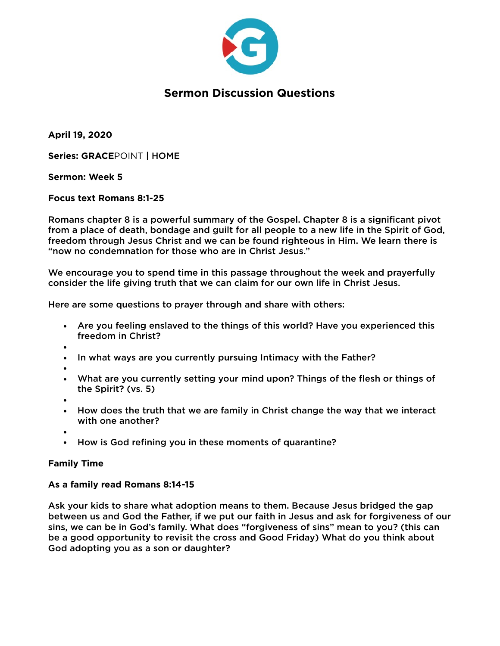

**April 19, 2020** 

**Series: GRACE**POINT | HOME

**Sermon: Week 5** 

**Focus text Romans 8:1-25** 

Romans chapter 8 is a powerful summary of the Gospel. Chapter 8 is a significant pivot from a place of death, bondage and guilt for all people to a new life in the Spirit of God, freedom through Jesus Christ and we can be found righteous in Him. We learn there is "now no condemnation for those who are in Christ Jesus."

We encourage you to spend time in this passage throughout the week and prayerfully consider the life giving truth that we can claim for our own life in Christ Jesus.

Here are some questions to prayer through and share with others:

- Are you feeling enslaved to the things of this world? Have you experienced this freedom in Christ?
- •
- In what ways are you currently pursuing Intimacy with the Father?
- •
- What are you currently setting your mind upon? Things of the flesh or things of the Spirit? (vs. 5)
- •
- How does the truth that we are family in Christ change the way that we interact with one another?
- •
- How is God refining you in these moments of quarantine?

### **Family Time**

### **As a family read Romans 8:14-15**

Ask your kids to share what adoption means to them. Because Jesus bridged the gap between us and God the Father, if we put our faith in Jesus and ask for forgiveness of our sins, we can be in God's family. What does "forgiveness of sins" mean to you? (this can be a good opportunity to revisit the cross and Good Friday) What do you think about God adopting you as a son or daughter?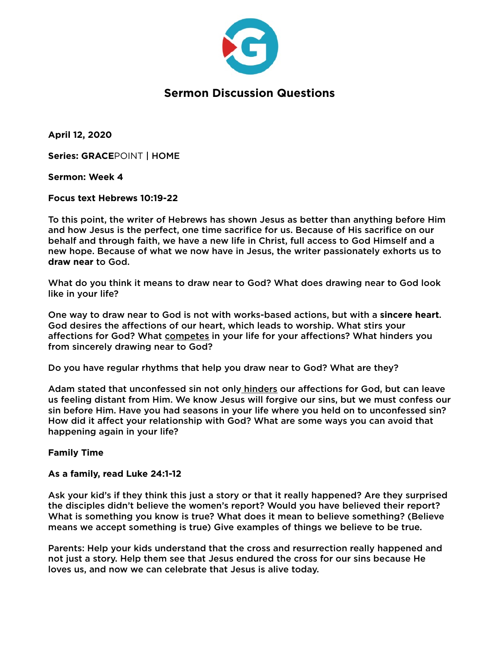

**April 12, 2020** 

**Series: GRACE**POINT | HOME

**Sermon: Week 4** 

**Focus text Hebrews 10:19-22** 

To this point, the writer of Hebrews has shown Jesus as better than anything before Him and how Jesus is the perfect, one time sacrifice for us. Because of His sacrifice on our behalf and through faith, we have a new life in Christ, full access to God Himself and a new hope. Because of what we now have in Jesus, the writer passionately exhorts us to **draw near** to God.

What do you think it means to draw near to God? What does drawing near to God look like in your life?

One way to draw near to God is not with works-based actions, but with a **sincere heart**. God desires the affections of our heart, which leads to worship. What stirs your affections for God? What competes in your life for your affections? What hinders you from sincerely drawing near to God?

Do you have regular rhythms that help you draw near to God? What are they?

Adam stated that unconfessed sin not only hinders our affections for God, but can leave us feeling distant from Him. We know Jesus will forgive our sins, but we must confess our sin before Him. Have you had seasons in your life where you held on to unconfessed sin? How did it affect your relationship with God? What are some ways you can avoid that happening again in your life?

### **Family Time**

**As a family, read Luke 24:1-12** 

Ask your kid's if they think this just a story or that it really happened? Are they surprised the disciples didn't believe the women's report? Would you have believed their report? What is something you know is true? What does it mean to believe something? (Believe means we accept something is true) Give examples of things we believe to be true.

Parents: Help your kids understand that the cross and resurrection really happened and not just a story. Help them see that Jesus endured the cross for our sins because He loves us, and now we can celebrate that Jesus is alive today.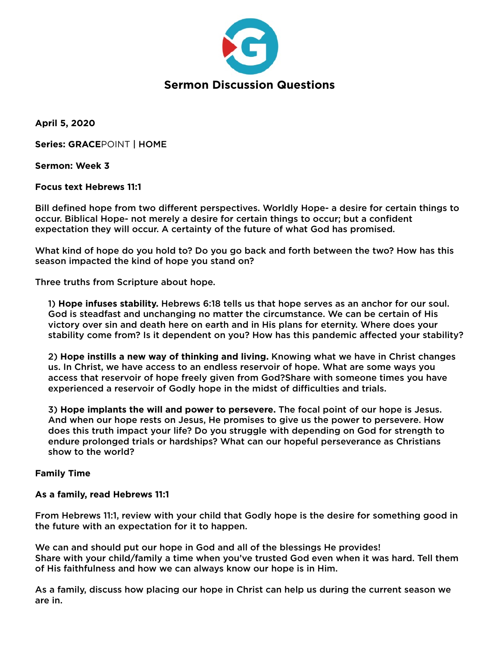

**April 5, 2020** 

**Series: GRACE**POINT | HOME

**Sermon: Week 3** 

**Focus text Hebrews 11:1** 

Bill defined hope from two different perspectives. Worldly Hope- a desire for certain things to occur. Biblical Hope- not merely a desire for certain things to occur; but a confident expectation they will occur. A certainty of the future of what God has promised.

What kind of hope do you hold to? Do you go back and forth between the two? How has this season impacted the kind of hope you stand on?

Three truths from Scripture about hope.

1) **Hope infuses stability.** Hebrews 6:18 tells us that hope serves as an anchor for our soul. God is steadfast and unchanging no matter the circumstance. We can be certain of His victory over sin and death here on earth and in His plans for eternity. Where does your stability come from? Is it dependent on you? How has this pandemic affected your stability?

2) **Hope instills a new way of thinking and living.** Knowing what we have in Christ changes us. In Christ, we have access to an endless reservoir of hope. What are some ways you access that reservoir of hope freely given from God?Share with someone times you have experienced a reservoir of Godly hope in the midst of difficulties and trials.

3) **Hope implants the will and power to persevere.** The focal point of our hope is Jesus. And when our hope rests on Jesus, He promises to give us the power to persevere. How does this truth impact your life? Do you struggle with depending on God for strength to endure prolonged trials or hardships? What can our hopeful perseverance as Christians show to the world?

### **Family Time**

### **As a family, read Hebrews 11:1**

From Hebrews 11:1, review with your child that Godly hope is the desire for something good in the future with an expectation for it to happen.

We can and should put our hope in God and all of the blessings He provides! Share with your child/family a time when you've trusted God even when it was hard. Tell them of His faithfulness and how we can always know our hope is in Him.

As a family, discuss how placing our hope in Christ can help us during the current season we are in.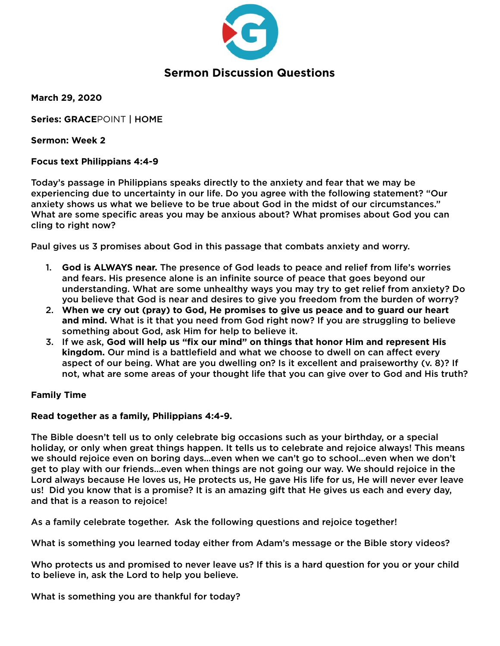

**March 29, 2020** 

**Series: GRACE**POINT | HOME

**Sermon: Week 2** 

### **Focus text Philippians 4:4-9**

Today's passage in Philippians speaks directly to the anxiety and fear that we may be experiencing due to uncertainty in our life. Do you agree with the following statement? "Our anxiety shows us what we believe to be true about God in the midst of our circumstances." What are some specific areas you may be anxious about? What promises about God you can cling to right now?

Paul gives us 3 promises about God in this passage that combats anxiety and worry.

- 1. **God is ALWAYS near.** The presence of God leads to peace and relief from life's worries and fears. His presence alone is an infinite source of peace that goes beyond our understanding. What are some unhealthy ways you may try to get relief from anxiety? Do you believe that God is near and desires to give you freedom from the burden of worry?
- 2. **When we cry out (pray) to God, He promises to give us peace and to guard our heart and mind.** What is it that you need from God right now? If you are struggling to believe something about God, ask Him for help to believe it.
- 3. If we ask, **God will help us "fix our mind" on things that honor Him and represent His kingdom.** Our mind is a battlefield and what we choose to dwell on can affect every aspect of our being. What are you dwelling on? Is it excellent and praiseworthy (v. 8)? If not, what are some areas of your thought life that you can give over to God and His truth?

### **Family Time**

### **Read together as a family, Philippians 4:4-9.**

The Bible doesn't tell us to only celebrate big occasions such as your birthday, or a special holiday, or only when great things happen. It tells us to celebrate and rejoice always! This means we should rejoice even on boring days…even when we can't go to school…even when we don't get to play with our friends…even when things are not going our way. We should rejoice in the Lord always because He loves us, He protects us, He gave His life for us, He will never ever leave us! Did you know that is a promise? It is an amazing gift that He gives us each and every day, and that is a reason to rejoice!

As a family celebrate together. Ask the following questions and rejoice together!

What is something you learned today either from Adam's message or the Bible story videos?

Who protects us and promised to never leave us? If this is a hard question for you or your child to believe in, ask the Lord to help you believe.

What is something you are thankful for today?